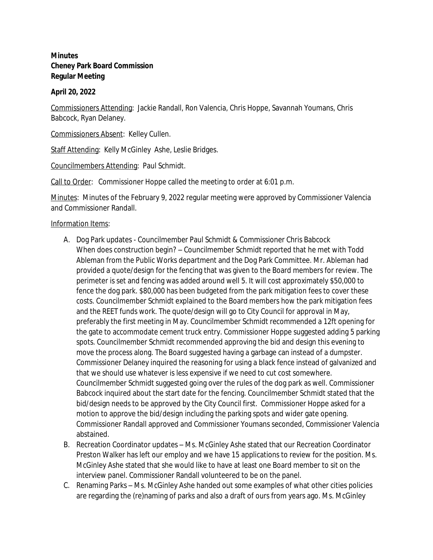## **Minutes Cheney Park Board Commission Regular Meeting**

## **April 20, 2022**

Commissioners Attending: Jackie Randall, Ron Valencia, Chris Hoppe, Savannah Youmans, Chris Babcock, Ryan Delaney.

Commissioners Absent: Kelley Cullen.

Staff Attending: Kelly McGinley Ashe, Leslie Bridges.

Councilmembers Attending: Paul Schmidt.

Call to Order: Commissioner Hoppe called the meeting to order at 6:01 p.m.

Minutes: Minutes of the February 9, 2022 regular meeting were approved by Commissioner Valencia and Commissioner Randall.

Information Items:

- A. Dog Park updates Councilmember Paul Schmidt & Commissioner Chris Babcock When does construction begin? – Councilmember Schmidt reported that he met with Todd Ableman from the Public Works department and the Dog Park Committee. Mr. Ableman had provided a quote/design for the fencing that was given to the Board members for review. The perimeter is set and fencing was added around well 5. It will cost approximately \$50,000 to fence the dog park. \$80,000 has been budgeted from the park mitigation fees to cover these costs. Councilmember Schmidt explained to the Board members how the park mitigation fees and the REET funds work. The quote/design will go to City Council for approval in May, preferably the first meeting in May. Councilmember Schmidt recommended a 12ft opening for the gate to accommodate cement truck entry. Commissioner Hoppe suggested adding 5 parking spots. Councilmember Schmidt recommended approving the bid and design this evening to move the process along. The Board suggested having a garbage can instead of a dumpster. Commissioner Delaney inquired the reasoning for using a black fence instead of galvanized and that we should use whatever is less expensive if we need to cut cost somewhere. Councilmember Schmidt suggested going over the rules of the dog park as well. Commissioner Babcock inquired about the start date for the fencing. Councilmember Schmidt stated that the bid/design needs to be approved by the City Council first. Commissioner Hoppe asked for a motion to approve the bid/design including the parking spots and wider gate opening. Commissioner Randall approved and Commissioner Youmans seconded, Commissioner Valencia abstained.
- B. Recreation Coordinator updates Ms. McGinley Ashe stated that our Recreation Coordinator Preston Walker has left our employ and we have 15 applications to review for the position. Ms. McGinley Ashe stated that she would like to have at least one Board member to sit on the interview panel. Commissioner Randall volunteered to be on the panel.
- C. Renaming Parks Ms. McGinley Ashe handed out some examples of what other cities policies are regarding the (re)naming of parks and also a draft of ours from years ago. Ms. McGinley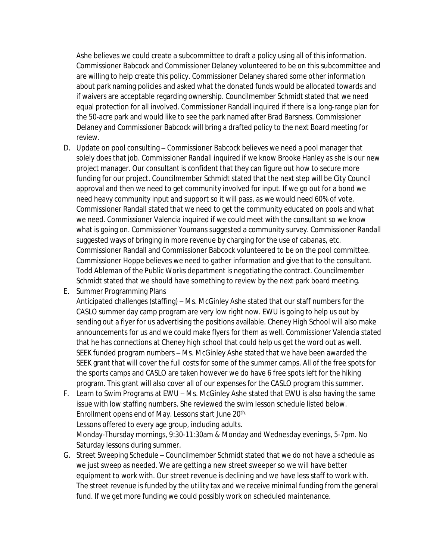Ashe believes we could create a subcommittee to draft a policy using all of this information. Commissioner Babcock and Commissioner Delaney volunteered to be on this subcommittee and are willing to help create this policy. Commissioner Delaney shared some other information about park naming policies and asked what the donated funds would be allocated towards and if waivers are acceptable regarding ownership. Councilmember Schmidt stated that we need equal protection for all involved. Commissioner Randall inquired if there is a long-range plan for the 50-acre park and would like to see the park named after Brad Barsness. Commissioner Delaney and Commissioner Babcock will bring a drafted policy to the next Board meeting for review.

- D. Update on pool consulting Commissioner Babcock believes we need a pool manager that solely does that job. Commissioner Randall inquired if we know Brooke Hanley as she is our new project manager. Our consultant is confident that they can figure out how to secure more funding for our project. Councilmember Schmidt stated that the next step will be City Council approval and then we need to get community involved for input. If we go out for a bond we need heavy community input and support so it will pass, as we would need 60% of vote. Commissioner Randall stated that we need to get the community educated on pools and what we need. Commissioner Valencia inquired if we could meet with the consultant so we know what is going on. Commissioner Youmans suggested a community survey. Commissioner Randall suggested ways of bringing in more revenue by charging for the use of cabanas, etc. Commissioner Randall and Commissioner Babcock volunteered to be on the pool committee. Commissioner Hoppe believes we need to gather information and give that to the consultant. Todd Ableman of the Public Works department is negotiating the contract. Councilmember Schmidt stated that we should have something to review by the next park board meeting.
- E. Summer Programming Plans

Anticipated challenges (staffing) – Ms. McGinley Ashe stated that our staff numbers for the CASLO summer day camp program are very low right now. EWU is going to help us out by sending out a flyer for us advertising the positions available. Cheney High School will also make announcements for us and we could make flyers for them as well. Commissioner Valencia stated that he has connections at Cheney high school that could help us get the word out as well. SEEK funded program numbers – Ms. McGinley Ashe stated that we have been awarded the SEEK grant that will cover the full costs for some of the summer camps. All of the free spots for the sports camps and CASLO are taken however we do have 6 free spots left for the hiking program. This grant will also cover all of our expenses for the CASLO program this summer.

- F. Learn to Swim Programs at EWU Ms. McGinley Ashe stated that EWU is also having the same issue with low staffing numbers. She reviewed the swim lesson schedule listed below. Enrollment opens end of May. Lessons start June 20<sup>th.</sup> Lessons offered to every age group, including adults. Monday-Thursday mornings, 9:30-11:30am & Monday and Wednesday evenings, 5-7pm. No Saturday lessons during summer.
- G. Street Sweeping Schedule Councilmember Schmidt stated that we do not have a schedule as we just sweep as needed. We are getting a new street sweeper so we will have better equipment to work with. Our street revenue is declining and we have less staff to work with. The street revenue is funded by the utility tax and we receive minimal funding from the general fund. If we get more funding we could possibly work on scheduled maintenance.